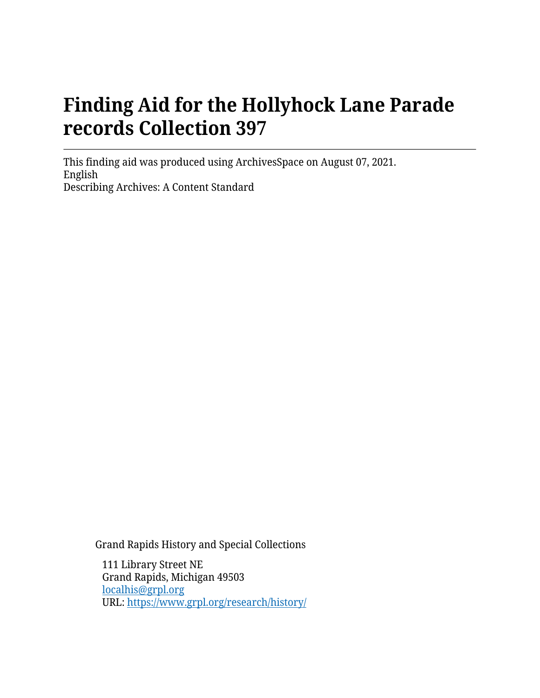# **Finding Aid for the Hollyhock Lane Parade records Collection 397**

This finding aid was produced using ArchivesSpace on August 07, 2021. English Describing Archives: A Content Standard

Grand Rapids History and Special Collections

111 Library Street NE Grand Rapids, Michigan 49503 [localhis@grpl.org](mailto:localhis@grpl.org) URL:<https://www.grpl.org/research/history/>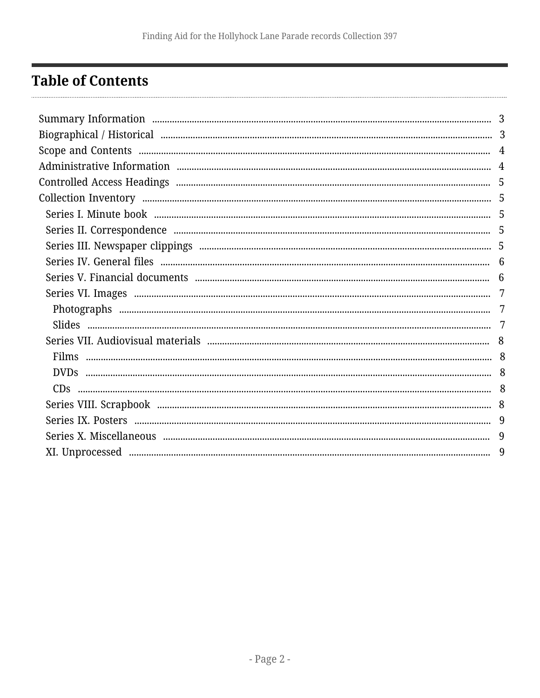## <span id="page-1-0"></span>**Table of Contents**

| 7 |
|---|
| 7 |
|   |
|   |
|   |
|   |
|   |
|   |
|   |
| 9 |
|   |
|   |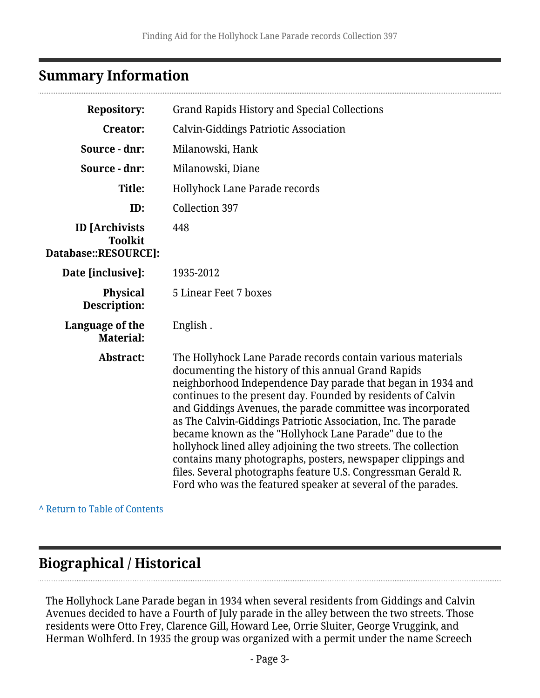### <span id="page-2-0"></span>**Summary Information**

| <b>Repository:</b>                                              | <b>Grand Rapids History and Special Collections</b>                                                                                                                                                                                                                                                                                                                                                                                                                                                                                                                                                                                                                                                            |
|-----------------------------------------------------------------|----------------------------------------------------------------------------------------------------------------------------------------------------------------------------------------------------------------------------------------------------------------------------------------------------------------------------------------------------------------------------------------------------------------------------------------------------------------------------------------------------------------------------------------------------------------------------------------------------------------------------------------------------------------------------------------------------------------|
| <b>Creator:</b>                                                 | <b>Calvin-Giddings Patriotic Association</b>                                                                                                                                                                                                                                                                                                                                                                                                                                                                                                                                                                                                                                                                   |
| Source - dnr:                                                   | Milanowski, Hank                                                                                                                                                                                                                                                                                                                                                                                                                                                                                                                                                                                                                                                                                               |
| Source - dnr:                                                   | Milanowski, Diane                                                                                                                                                                                                                                                                                                                                                                                                                                                                                                                                                                                                                                                                                              |
| Title:                                                          | <b>Hollyhock Lane Parade records</b>                                                                                                                                                                                                                                                                                                                                                                                                                                                                                                                                                                                                                                                                           |
| ID:                                                             | Collection 397                                                                                                                                                                                                                                                                                                                                                                                                                                                                                                                                                                                                                                                                                                 |
| <b>ID</b> [Archivists<br><b>Toolkit</b><br>Database::RESOURCE]: | 448                                                                                                                                                                                                                                                                                                                                                                                                                                                                                                                                                                                                                                                                                                            |
| Date [inclusive]:                                               | 1935-2012                                                                                                                                                                                                                                                                                                                                                                                                                                                                                                                                                                                                                                                                                                      |
| <b>Physical</b><br>Description:                                 | 5 Linear Feet 7 boxes                                                                                                                                                                                                                                                                                                                                                                                                                                                                                                                                                                                                                                                                                          |
| Language of the<br><b>Material:</b>                             | English.                                                                                                                                                                                                                                                                                                                                                                                                                                                                                                                                                                                                                                                                                                       |
| Abstract:                                                       | The Hollyhock Lane Parade records contain various materials<br>documenting the history of this annual Grand Rapids<br>neighborhood Independence Day parade that began in 1934 and<br>continues to the present day. Founded by residents of Calvin<br>and Giddings Avenues, the parade committee was incorporated<br>as The Calvin-Giddings Patriotic Association, Inc. The parade<br>became known as the "Hollyhock Lane Parade" due to the<br>hollyhock lined alley adjoining the two streets. The collection<br>contains many photographs, posters, newspaper clippings and<br>files. Several photographs feature U.S. Congressman Gerald R.<br>Ford who was the featured speaker at several of the parades. |

**^** [Return to Table of Contents](#page-1-0)

## <span id="page-2-1"></span>**Biographical / Historical**

The Hollyhock Lane Parade began in 1934 when several residents from Giddings and Calvin Avenues decided to have a Fourth of July parade in the alley between the two streets. Those residents were Otto Frey, Clarence Gill, Howard Lee, Orrie Sluiter, George Vruggink, and Herman Wolhferd. In 1935 the group was organized with a permit under the name Screech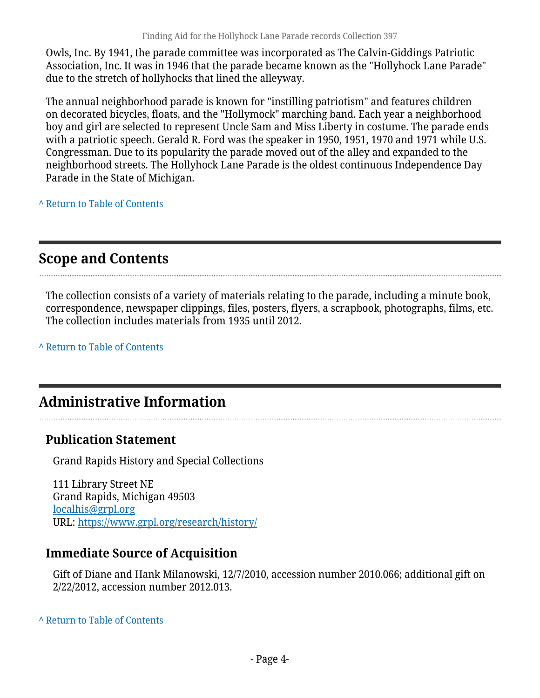Owls, Inc. By 1941, the parade committee was incorporated as The Calvin-Giddings Patriotic Association, Inc. It was in 1946 that the parade became known as the "Hollyhock Lane Parade" due to the stretch of hollyhocks that lined the alleyway.

The annual neighborhood parade is known for "instilling patriotism" and features children on decorated bicycles, floats, and the "Hollymock" marching band. Each year a neighborhood boy and girl are selected to represent Uncle Sam and Miss Liberty in costume. The parade ends with a patriotic speech. Gerald R. Ford was the speaker in 1950, 1951, 1970 and 1971 while U.S. Congressman. Due to its popularity the parade moved out of the alley and expanded to the neighborhood streets. The Hollyhock Lane Parade is the oldest continuous Independence Day Parade in the State of Michigan.

**^** [Return to Table of Contents](#page-1-0)

## <span id="page-3-0"></span>**Scope and Contents**

The collection consists of a variety of materials relating to the parade, including a minute book, correspondence, newspaper clippings, files, posters, flyers, a scrapbook, photographs, films, etc. The collection includes materials from 1935 until 2012.

**^** [Return to Table of Contents](#page-1-0)

## <span id="page-3-1"></span>**Administrative Information**

### **Publication Statement**

Grand Rapids History and Special Collections

111 Library Street NE Grand Rapids, Michigan 49503 [localhis@grpl.org](mailto:localhis@grpl.org) URL:<https://www.grpl.org/research/history/>

### **Immediate Source of Acquisition**

Gift of Diane and Hank Milanowski, 12/7/2010, accession number 2010.066; additional gift on 2/22/2012, accession number 2012.013.

#### **^** [Return to Table of Contents](#page-1-0)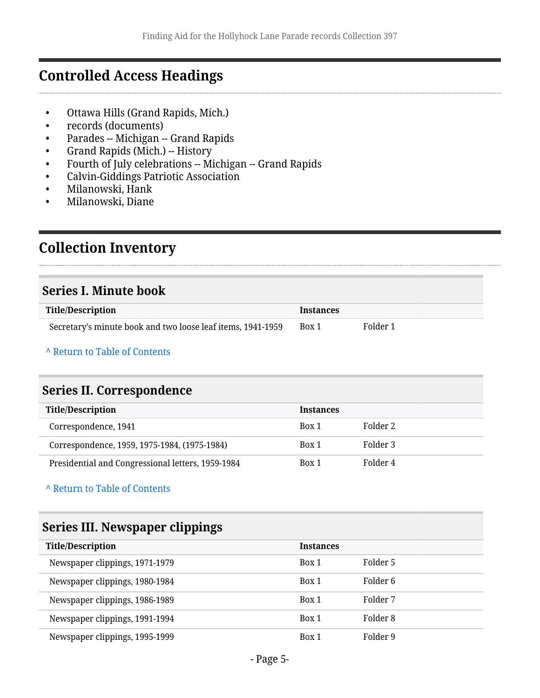### <span id="page-4-0"></span>**Controlled Access Headings**

- Ottawa Hills (Grand Rapids, Mich.)
- records (documents)
- Parades -- Michigan -- Grand Rapids
- Grand Rapids (Mich.) -- History
- Fourth of July celebrations -- Michigan -- Grand Rapids
- Calvin-Giddings Patriotic Association
- Milanowski, Hank
- Milanowski, Diane

## <span id="page-4-1"></span>**Collection Inventory**

#### <span id="page-4-2"></span>**Series I. Minute book**

| <b>Title/Description</b>                                    | Instances |          |
|-------------------------------------------------------------|-----------|----------|
| Secretary's minute book and two loose leaf items, 1941-1959 | Box 1     | Folder 1 |

#### **^** [Return to Table of Contents](#page-1-0)

### <span id="page-4-3"></span>**Series II. Correspondence**

| <b>Title/Description</b>                          | <b>Instances</b> |          |
|---------------------------------------------------|------------------|----------|
| Correspondence, 1941                              | Box 1            | Folder 2 |
| Correspondence, 1959, 1975-1984, (1975-1984)      | Box 1            | Folder 3 |
| Presidential and Congressional letters, 1959-1984 | Box 1            | Folder 4 |

#### **^** [Return to Table of Contents](#page-1-0)

### <span id="page-4-4"></span>**Series III. Newspaper clippings**

| <b>Title/Description</b>       | <b>Instances</b> |          |
|--------------------------------|------------------|----------|
| Newspaper clippings, 1971-1979 | Box 1            | Folder 5 |
| Newspaper clippings, 1980-1984 | Box 1            | Folder 6 |
| Newspaper clippings, 1986-1989 | Box 1            | Folder 7 |
| Newspaper clippings, 1991-1994 | Box 1            | Folder 8 |
| Newspaper clippings, 1995-1999 | Box 1            | Folder 9 |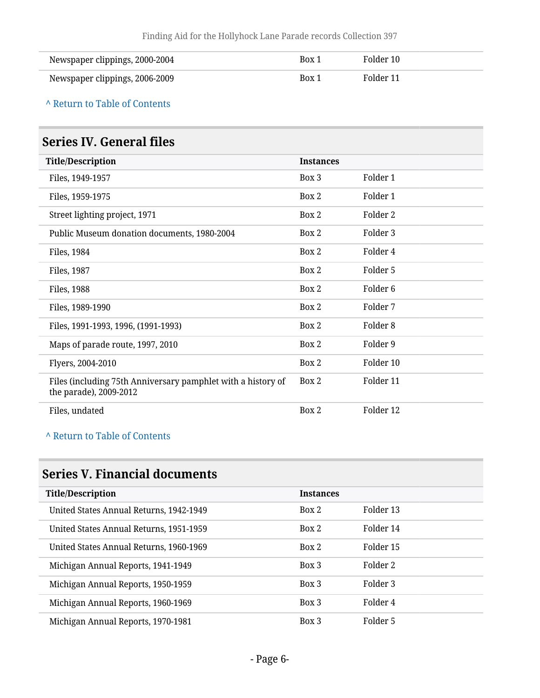| Newspaper clippings, 2000-2004 | Box 1 | Folder 10 |
|--------------------------------|-------|-----------|
| Newspaper clippings, 2006-2009 | Box 1 | Folder 11 |

### <span id="page-5-0"></span>**Series IV. General files**

| <b>Title/Description</b>                                                               | <b>Instances</b> |                     |
|----------------------------------------------------------------------------------------|------------------|---------------------|
| Files, 1949-1957                                                                       | Box 3            | Folder 1            |
| Files, 1959-1975                                                                       | Box 2            | Folder 1            |
| Street lighting project, 1971                                                          | Box 2            | Folder 2            |
| Public Museum donation documents, 1980-2004                                            | Box 2            | Folder 3            |
| Files, 1984                                                                            | Box 2            | Folder 4            |
| Files, 1987                                                                            | Box 2            | Folder 5            |
| Files, 1988                                                                            | Box 2            | Folder <sub>6</sub> |
| Files, 1989-1990                                                                       | Box 2            | Folder 7            |
| Files, 1991-1993, 1996, (1991-1993)                                                    | Box 2            | Folder <sub>8</sub> |
| Maps of parade route, 1997, 2010                                                       | Box 2            | Folder 9            |
| Flyers, 2004-2010                                                                      | Box 2            | Folder 10           |
| Files (including 75th Anniversary pamphlet with a history of<br>the parade), 2009-2012 | Box 2            | Folder 11           |
| Files, undated                                                                         | Box 2            | Folder 12           |

#### **^** [Return to Table of Contents](#page-1-0)

## <span id="page-5-1"></span>**Series V. Financial documents**

| <b>Title/Description</b>                | <b>Instances</b> |           |
|-----------------------------------------|------------------|-----------|
| United States Annual Returns, 1942-1949 | Box 2            | Folder 13 |
| United States Annual Returns, 1951-1959 | Box 2            | Folder 14 |
| United States Annual Returns, 1960-1969 | Box 2            | Folder 15 |
| Michigan Annual Reports, 1941-1949      | $Box$ 3          | Folder 2  |
| Michigan Annual Reports, 1950-1959      | Box 3            | Folder 3  |
| Michigan Annual Reports, 1960-1969      | Box 3            | Folder 4  |
| Michigan Annual Reports, 1970-1981      | Box 3            | Folder 5  |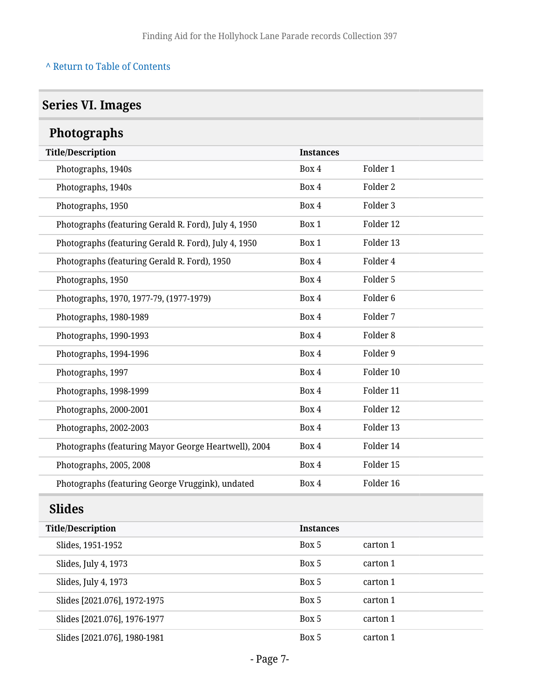## <span id="page-6-0"></span>**Series VI. Images**

<span id="page-6-2"></span><span id="page-6-1"></span>

| <b>Photographs</b>                                   |                  |                     |  |
|------------------------------------------------------|------------------|---------------------|--|
| <b>Title/Description</b>                             | <b>Instances</b> |                     |  |
| Photographs, 1940s                                   | Box 4            | Folder 1            |  |
| Photographs, 1940s                                   | Box 4            | Folder <sub>2</sub> |  |
| Photographs, 1950                                    | Box 4            | Folder 3            |  |
| Photographs (featuring Gerald R. Ford), July 4, 1950 | Box 1            | Folder 12           |  |
| Photographs (featuring Gerald R. Ford), July 4, 1950 | Box 1            | Folder 13           |  |
| Photographs (featuring Gerald R. Ford), 1950         | Box 4            | Folder 4            |  |
| Photographs, 1950                                    | Box 4            | Folder 5            |  |
| Photographs, 1970, 1977-79, (1977-1979)              | Box 4            | Folder <sub>6</sub> |  |
| Photographs, 1980-1989                               | Box 4            | Folder 7            |  |
| Photographs, 1990-1993                               | Box 4            | Folder <sub>8</sub> |  |
| Photographs, 1994-1996                               | Box 4            | Folder 9            |  |
| Photographs, 1997                                    | Box 4            | Folder 10           |  |
| Photographs, 1998-1999                               | Box 4            | Folder 11           |  |
| Photographs, 2000-2001                               | Box 4            | Folder 12           |  |
| Photographs, 2002-2003                               | Box 4            | Folder 13           |  |
| Photographs (featuring Mayor George Heartwell), 2004 | Box 4            | Folder 14           |  |
| Photographs, 2005, 2008                              | Box 4            | Folder 15           |  |
| Photographs (featuring George Vruggink), undated     | Box 4            | Folder 16           |  |
| <b>Slides</b>                                        |                  |                     |  |
| <b>Title/Description</b>                             | <b>Instances</b> |                     |  |
| Slides, 1951-1952                                    | Box 5            | carton 1            |  |
| Slides, July 4, 1973                                 | Box 5            | carton 1            |  |
| Slides, July 4, 1973                                 | Box 5            | carton 1            |  |
| Slides [2021.076], 1972-1975                         | Box 5            | carton 1            |  |
| Slides [2021.076], 1976-1977                         | Box 5            | carton 1            |  |
| Slides [2021.076], 1980-1981                         | Box 5            | carton 1            |  |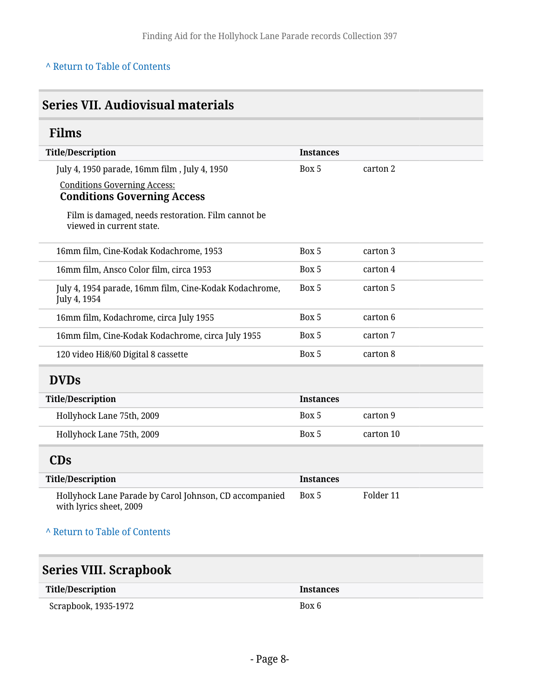## <span id="page-7-0"></span>**Series VII. Audiovisual materials**

### <span id="page-7-1"></span>**Films**

| <b>Title/Description</b>                                                          | <b>Instances</b> |           |
|-----------------------------------------------------------------------------------|------------------|-----------|
| July 4, 1950 parade, 16mm film, July 4, 1950                                      | Box 5            | carton 2  |
| <b>Conditions Governing Access:</b>                                               |                  |           |
| <b>Conditions Governing Access</b>                                                |                  |           |
| Film is damaged, needs restoration. Film cannot be<br>viewed in current state.    |                  |           |
| 16mm film, Cine-Kodak Kodachrome, 1953                                            | Box 5            | carton 3  |
| 16mm film, Ansco Color film, circa 1953                                           | Box 5            | carton 4  |
| July 4, 1954 parade, 16mm film, Cine-Kodak Kodachrome,<br>July 4, 1954            | Box 5            | carton 5  |
| 16mm film, Kodachrome, circa July 1955                                            | Box 5            | carton 6  |
| 16mm film, Cine-Kodak Kodachrome, circa July 1955                                 | Box 5            | carton 7  |
| 120 video Hi8/60 Digital 8 cassette                                               | Box 5            | carton 8  |
| <b>DVDs</b>                                                                       |                  |           |
| <b>Title/Description</b>                                                          | <b>Instances</b> |           |
| Hollyhock Lane 75th, 2009                                                         | Box 5            | carton 9  |
| Hollyhock Lane 75th, 2009                                                         | Box 5            | carton 10 |
| <b>CDs</b>                                                                        |                  |           |
| <b>Title/Description</b>                                                          | <b>Instances</b> |           |
| Hollyhock Lane Parade by Carol Johnson, CD accompanied<br>with lyrics sheet, 2009 | Box 5            | Folder 11 |
| A Return to Table of Contents                                                     |                  |           |

## <span id="page-7-4"></span><span id="page-7-3"></span><span id="page-7-2"></span>**Series VIII. Scrapbook**

| <b>Title/Description</b> | <b>Instances</b> |
|--------------------------|------------------|
| Scrapbook, 1935-1972     | Box 6            |